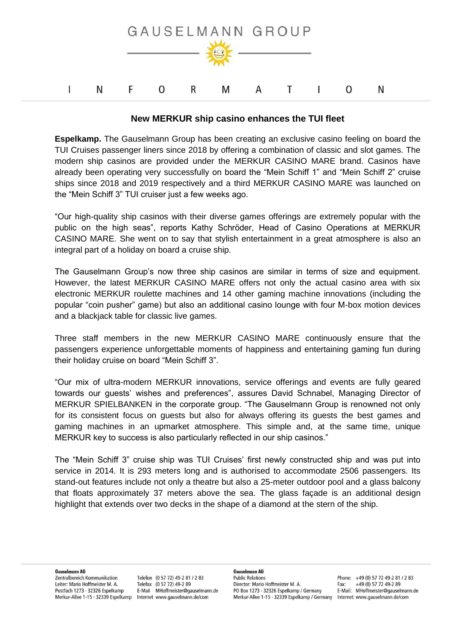

## **New MERKUR ship casino enhances the TUI fleet**

**Espelkamp.** The Gauselmann Group has been creating an exclusive casino feeling on board the TUI Cruises passenger liners since 2018 by offering a combination of classic and slot games. The modern ship casinos are provided under the MERKUR CASINO MARE brand. Casinos have already been operating very successfully on board the "Mein Schiff 1" and "Mein Schiff 2" cruise ships since 2018 and 2019 respectively and a third MERKUR CASINO MARE was launched on the "Mein Schiff 3" TUI cruiser just a few weeks ago.

"Our high-quality ship casinos with their diverse games offerings are extremely popular with the public on the high seas", reports Kathy Schröder, Head of Casino Operations at MERKUR CASINO MARE. She went on to say that stylish entertainment in a great atmosphere is also an integral part of a holiday on board a cruise ship.

The Gauselmann Group's now three ship casinos are similar in terms of size and equipment. However, the latest MERKUR CASINO MARE offers not only the actual casino area with six electronic MERKUR roulette machines and 14 other gaming machine innovations (including the popular "coin pusher" game) but also an additional casino lounge with four M-box motion devices and a blackjack table for classic live games.

Three staff members in the new MERKUR CASINO MARE continuously ensure that the passengers experience unforgettable moments of happiness and entertaining gaming fun during their holiday cruise on board "Mein Schiff 3".

"Our mix of ultra-modern MERKUR innovations, service offerings and events are fully geared towards our guests' wishes and preferences", assures David Schnabel, Managing Director of MERKUR SPIELBANKEN in the corporate group. "The Gauselmann Group is renowned not only for its consistent focus on guests but also for always offering its guests the best games and gaming machines in an upmarket atmosphere. This simple and, at the same time, unique MERKUR key to success is also particularly reflected in our ship casinos."

The "Mein Schiff 3" cruise ship was TUI Cruises' first newly constructed ship and was put into service in 2014. It is 293 meters long and is authorised to accommodate 2506 passengers. Its stand-out features include not only a theatre but also a 25-meter outdoor pool and a glass balcony that floats approximately 37 meters above the sea. The glass façade is an additional design highlight that extends over two decks in the shape of a diamond at the stern of the ship.

Zentralbereich Kommunikation Leiter: Mario Hoffmeister M. A. Postfach 1273 - 32326 Espelkamp Merkur-Allee 1-15 · 32339 Espelkamp

Telefon (0 57 72) 49-2 81 / 2 83 Telefax (0 57 72) 49-2 89 E-Mail MHoffmeister@gauselmann.de Internet www.gauselmann.de/com

**Gauselmann AG Public Relations** Director: Mario Hoffmeister M. A. PO Box 1273 - 32326 Espelkamp / Germany Merkur-Allee 1-15 · 32339 Espelkamp / Germany

Phone: +49 (0) 57 72 49-2 81 / 2 83 Fax: +49 (0) 57 72 49-2 89 E-Mail: MHoffmeister@gauselmann.de Internet: www.gauselmann.de/com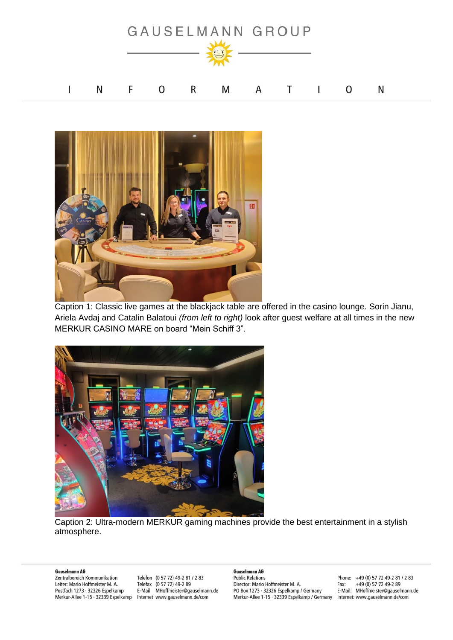



Caption 1: Classic live games at the blackjack table are offered in the casino lounge. Sorin Jianu, Ariela Avdaj and Catalin Balatoui *(from left to right)* look after guest welfare at all times in the new MERKUR CASINO MARE on board "Mein Schiff 3".



Caption 2: Ultra-modern MERKUR gaming machines provide the best entertainment in a stylish atmosphere.

## **Gauselmann AG**

Zentralbereich Kommunikation Leiter: Mario Hoffmeister M. A. Postfach 1273 - 32326 Espelkamp Merkur-Allee 1-15 · 32339 Espelkamp

Telefon (0 57 72) 49-2 81 / 2 83 Telefax (0 57 72) 49-2 89 E-Mail MHoffmeister@gauselmann.de Internet www.gauselmann.de/com

**Gauselmann AG Public Relations** Director: Mario Hoffmeister M. A. PO Box 1273 - 32326 Espelkamp / Germany Merkur-Allee 1-15 · 32339 Espelkamp / Germany

Phone: +49 (0) 57 72 49-2 81 / 2 83 Fax: +49 (0) 57 72 49-2 89 E-Mail: MHoffmeister@gauselmann.de Internet: www.gauselmann.de/com